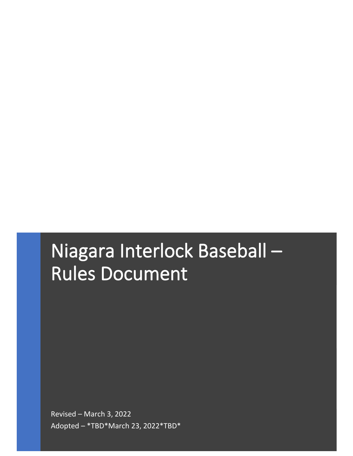# Niagara Interlock Baseball – Rules Document

Revised – March 3, 2022 Adopted – \*TBD\*March 23, 2022\*TBD\*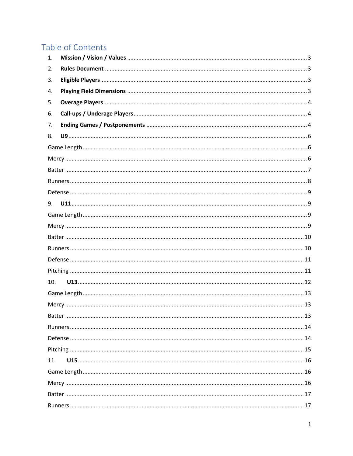# Table of Contents

| 1.  |  |  |  |
|-----|--|--|--|
| 2.  |  |  |  |
| 3.  |  |  |  |
| 4.  |  |  |  |
| 5.  |  |  |  |
| 6.  |  |  |  |
| 7.  |  |  |  |
| 8.  |  |  |  |
|     |  |  |  |
|     |  |  |  |
|     |  |  |  |
|     |  |  |  |
|     |  |  |  |
| 9.  |  |  |  |
|     |  |  |  |
|     |  |  |  |
|     |  |  |  |
|     |  |  |  |
|     |  |  |  |
|     |  |  |  |
| 10. |  |  |  |
|     |  |  |  |
|     |  |  |  |
|     |  |  |  |
|     |  |  |  |
|     |  |  |  |
|     |  |  |  |
| 11. |  |  |  |
|     |  |  |  |
|     |  |  |  |
|     |  |  |  |
|     |  |  |  |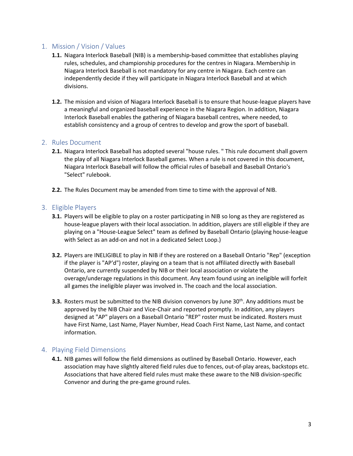# <span id="page-3-0"></span>1. Mission / Vision / Values

- **1.1.** Niagara Interlock Baseball (NIB) is a membership-based committee that establishes playing rules, schedules, and championship procedures for the centres in Niagara. Membership in Niagara Interlock Baseball is not mandatory for any centre in Niagara. Each centre can independently decide if they will participate in Niagara Interlock Baseball and at which divisions.
- **1.2.** The mission and vision of Niagara Interlock Baseball is to ensure that house-league players have a meaningful and organized baseball experience in the Niagara Region. In addition, Niagara Interlock Baseball enables the gathering of Niagara baseball centres, where needed, to establish consistency and a group of centres to develop and grow the sport of baseball.

#### <span id="page-3-1"></span>2. Rules Document

- **2.1.** Niagara Interlock Baseball has adopted several "house rules. " This rule document shall govern the play of all Niagara Interlock Baseball games. When a rule is not covered in this document, Niagara Interlock Baseball will follow the official rules of baseball and Baseball Ontario's "Select" rulebook.
- **2.2.** The Rules Document may be amended from time to time with the approval of NIB.

#### <span id="page-3-2"></span>3. Eligible Players

- **3.1.** Players will be eligible to play on a roster participating in NIB so long as they are registered as house-league players with their local association. In addition, players are still eligible if they are playing on a "House-League Select" team as defined by Baseball Ontario (playing house-league with Select as an add-on and not in a dedicated Select Loop.)
- **3.2.** Players are INELIGIBLE to play in NIB if they are rostered on a Baseball Ontario "Rep" (exception if the player is "AP'd") roster, playing on a team that is not affiliated directly with Baseball Ontario, are currently suspended by NIB or their local association or violate the overage/underage regulations in this document. Any team found using an ineligible will forfeit all games the ineligible player was involved in. The coach and the local association.
- **3.3.** Rosters must be submitted to the NIB division convenors by June 30<sup>th</sup>. Any additions must be approved by the NIB Chair and Vice-Chair and reported promptly. In addition, any players designed at "AP" players on a Baseball Ontario "REP" roster must be indicated. Rosters must have First Name, Last Name, Player Number, Head Coach First Name, Last Name, and contact information.

#### <span id="page-3-3"></span>4. Playing Field Dimensions

**4.1.** NIB games will follow the field dimensions as outlined by Baseball Ontario. However, each association may have slightly altered field rules due to fences, out-of-play areas, backstops etc. Associations that have altered field rules must make these aware to the NIB division-specific Convenor and during the pre-game ground rules.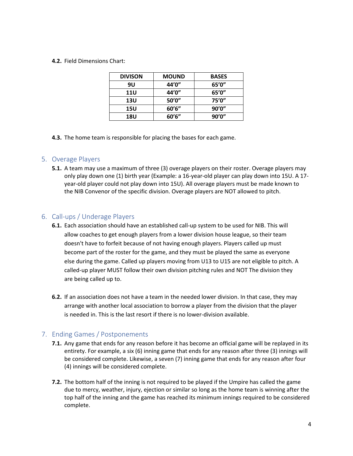#### **4.2.** Field Dimensions Chart:

| <b>DIVISON</b> | <b>MOUND</b> | <b>BASES</b> |
|----------------|--------------|--------------|
| 9U             | 44'0"        | 65'0''       |
| <b>11U</b>     | 44'0"        | 65'0''       |
| 13U            | 50'0''       | 75'0"        |
| 15U            | 60'6''       | 90'0''       |
| 18U            | 60'6''       | 90'0''       |

**4.3.** The home team is responsible for placing the bases for each game.

# <span id="page-4-0"></span>5. Overage Players

**5.1.** A team may use a maximum of three (3) overage players on their roster. Overage players may only play down one (1) birth year (Example: a 16-year-old player can play down into 15U. A 17 year-old player could not play down into 15U). All overage players must be made known to the NIB Convenor of the specific division. Overage players are NOT allowed to pitch.

# <span id="page-4-1"></span>6. Call-ups / Underage Players

- **6.1.** Each association should have an established call-up system to be used for NIB. This will allow coaches to get enough players from a lower division house league, so their team doesn't have to forfeit because of not having enough players. Players called up must become part of the roster for the game, and they must be played the same as everyone else during the game. Called up players moving from U13 to U15 are not eligible to pitch. A called-up player MUST follow their own division pitching rules and NOT The division they are being called up to.
- **6.2.** If an association does not have a team in the needed lower division. In that case, they may arrange with another local association to borrow a player from the division that the player is needed in. This is the last resort if there is no lower-division available.

# <span id="page-4-2"></span>7. Ending Games / Postponements

- **7.1.** Any game that ends for any reason before it has become an official game will be replayed in its entirety. For example, a six (6) inning game that ends for any reason after three (3) innings will be considered complete. Likewise, a seven (7) inning game that ends for any reason after four (4) innings will be considered complete.
- **7.2.** The bottom half of the inning is not required to be played if the Umpire has called the game due to mercy, weather, injury, ejection or similar so long as the home team is winning after the top half of the inning and the game has reached its minimum innings required to be considered complete.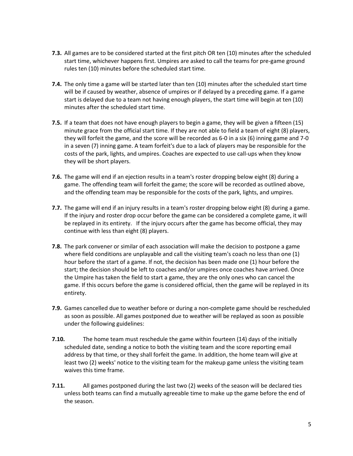- **7.3.** All games are to be considered started at the first pitch OR ten (10) minutes after the scheduled start time, whichever happens first. Umpires are asked to call the teams for pre-game ground rules ten (10) minutes before the scheduled start time.
- **7.4.** The only time a game will be started later than ten (10) minutes after the scheduled start time will be if caused by weather, absence of umpires or if delayed by a preceding game. If a game start is delayed due to a team not having enough players, the start time will begin at ten (10) minutes after the scheduled start time.
- **7.5.** If a team that does not have enough players to begin a game, they will be given a fifteen (15) minute grace from the official start time. If they are not able to field a team of eight (8) players, they will forfeit the game, and the score will be recorded as 6-0 in a six (6) inning game and 7-0 in a seven (7) inning game. A team forfeit's due to a lack of players may be responsible for the costs of the park, lights, and umpires. Coaches are expected to use call-ups when they know they will be short players.
- **7.6.** The game will end if an ejection results in a team's roster dropping below eight (8) during a game. The offending team will forfeit the game; the score will be recorded as outlined above, and the offending team may be responsible for the costs of the park, lights, and umpires.
- **7.7.** The game will end if an injury results in a team's roster dropping below eight (8) during a game. If the injury and roster drop occur before the game can be considered a complete game, it will be replayed in its entirety. If the injury occurs after the game has become official, they may continue with less than eight (8) players.
- **7.8.** The park convener or similar of each association will make the decision to postpone a game where field conditions are unplayable and call the visiting team's coach no less than one (1) hour before the start of a game. If not, the decision has been made one (1) hour before the start; the decision should be left to coaches and/or umpires once coaches have arrived. Once the Umpire has taken the field to start a game, they are the only ones who can cancel the game. If this occurs before the game is considered official, then the game will be replayed in its entirety.
- **7.9.** Games cancelled due to weather before or during a non-complete game should be rescheduled as soon as possible. All games postponed due to weather will be replayed as soon as possible under the following guidelines:
- **7.10.** The home team must reschedule the game within fourteen (14) days of the initially scheduled date, sending a notice to both the visiting team and the score reporting email address by that time, or they shall forfeit the game. In addition, the home team will give at least two (2) weeks' notice to the visiting team for the makeup game unless the visiting team waives this time frame.
- **7.11.** All games postponed during the last two (2) weeks of the season will be declared ties unless both teams can find a mutually agreeable time to make up the game before the end of the season.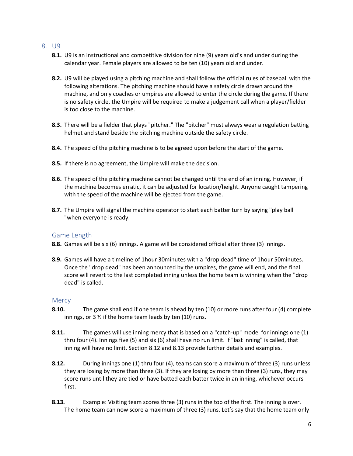#### <span id="page-6-0"></span>8. U9

- **8.1.** U9 is an instructional and competitive division for nine (9) years old's and under during the calendar year. Female players are allowed to be ten (10) years old and under.
- **8.2.** U9 will be played using a pitching machine and shall follow the official rules of baseball with the following alterations. The pitching machine should have a safety circle drawn around the machine, and only coaches or umpires are allowed to enter the circle during the game. If there is no safety circle, the Umpire will be required to make a judgement call when a player/fielder is too close to the machine.
- **8.3.** There will be a fielder that plays "pitcher." The "pitcher" must always wear a regulation batting helmet and stand beside the pitching machine outside the safety circle.
- **8.4.** The speed of the pitching machine is to be agreed upon before the start of the game.
- **8.5.** If there is no agreement, the Umpire will make the decision.
- **8.6.** The speed of the pitching machine cannot be changed until the end of an inning. However, if the machine becomes erratic, it can be adjusted for location/height. Anyone caught tampering with the speed of the machine will be ejected from the game.
- **8.7.** The Umpire will signal the machine operator to start each batter turn by saying "play ball "when everyone is ready.

#### <span id="page-6-1"></span>Game Length

- **8.8.** Games will be six (6) innings. A game will be considered official after three (3) innings.
- **8.9.** Games will have a timeline of 1hour 30minutes with a "drop dead" time of 1hour 50minutes. Once the "drop dead" has been announced by the umpires, the game will end, and the final score will revert to the last completed inning unless the home team is winning when the "drop dead" is called.

#### <span id="page-6-2"></span>**Mercy**

- **8.10.** The game shall end if one team is ahead by ten (10) or more runs after four (4) complete innings, or  $3\frac{1}{2}$  if the home team leads by ten (10) runs.
- **8.11.** The games will use inning mercy that is based on a "catch-up" model for innings one (1) thru four (4). Innings five (5) and six (6) shall have no run limit. If "last inning" is called, that inning will have no limit. Section 8.12 and 8.13 provide further details and examples.
- **8.12.** During innings one (1) thru four (4), teams can score a maximum of three (3) runs unless they are losing by more than three (3). If they are losing by more than three (3) runs, they may score runs until they are tied or have batted each batter twice in an inning, whichever occurs first.
- **8.13.** Example: Visiting team scores three (3) runs in the top of the first. The inning is over. The home team can now score a maximum of three (3) runs. Let's say that the home team only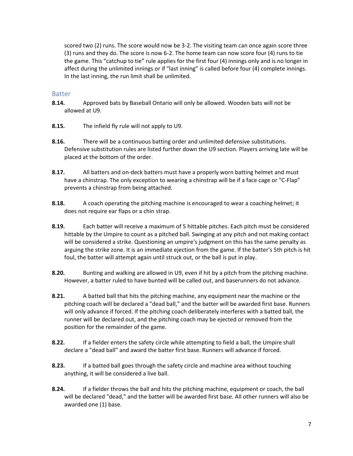scored two (2) runs. The score would now be 3-2. The visiting team can once again score three (3) runs and they do. The score is now 6-2. The home team can now score four (4) runs to tie the game. This "catchup to tie" rule applies for the first four (4) innings only and is no longer in affect during the unlimited innings or if "last inning" is called before four (4) complete innings. In the last inning, the run limit shall be unlimited.

#### <span id="page-7-0"></span>Batter

- **8.14.** Approved bats by Baseball Ontario will only be allowed. Wooden bats will not be allowed at U9.
- **8.15.** The infield fly rule will not apply to U9.
- **8.16.** There will be a continuous batting order and unlimited defensive substitutions. Defensive substitution rules are listed further down the U9 section. Players arriving late will be placed at the bottom of the order.
- **8.17.** All batters and on-deck batters must have a properly worn batting helmet and must have a chinstrap. The only exception to wearing a chinstrap will be if a face cage or "C-Flap" prevents a chinstrap from being attached.
- **8.18.** A coach operating the pitching machine is encouraged to wear a coaching helmet; it does not require ear flaps or a chin strap.
- **8.19.** Each batter will receive a maximum of 5 hittable pitches. Each pitch must be considered hittable by the Umpire to count as a pitched ball. Swinging at any pitch and not making contact will be considered a strike. Questioning an umpire's judgment on this has the same penalty as arguing the strike zone. It is an immediate ejection from the game. If the batter's 5th pitch is hit foul, the batter will attempt again until struck out, or the ball is put in play.
- **8.20.** Bunting and walking are allowed in U9, even if hit by a pitch from the pitching machine. However, a batter ruled to have bunted will be called out, and baserunners do not advance.
- **8.21.** A batted ball that hits the pitching machine, any equipment near the machine or the pitching coach will be declared a "dead ball," and the batter will be awarded first base. Runners will only advance if forced. If the pitching coach deliberately interferes with a batted ball, the runner will be declared out, and the pitching coach may be ejected or removed from the position for the remainder of the game.
- **8.22.** If a fielder enters the safety circle while attempting to field a ball, the Umpire shall declare a "dead ball" and award the batter first base. Runners will advance if forced.
- **8.23.** If a batted ball goes through the safety circle and machine area without touching anything, it will be considered a live ball.
- **8.24.** If a fielder throws the ball and hits the pitching machine, equipment or coach, the ball will be declared "dead," and the batter will be awarded first base. All other runners will also be awarded one (1) base.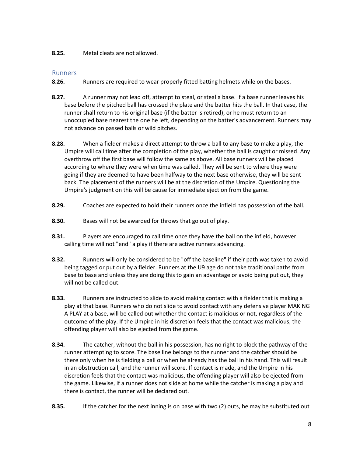**8.25.** Metal cleats are not allowed.

# <span id="page-8-0"></span>Runners

- **8.26.** Runners are required to wear properly fitted batting helmets while on the bases.
- **8.27.** A runner may not lead off, attempt to steal, or steal a base. If a base runner leaves his base before the pitched ball has crossed the plate and the batter hits the ball. In that case, the runner shall return to his original base (if the batter is retired), or he must return to an unoccupied base nearest the one he left, depending on the batter's advancement. Runners may not advance on passed balls or wild pitches.
- **8.28.** When a fielder makes a direct attempt to throw a ball to any base to make a play, the Umpire will call time after the completion of the play, whether the ball is caught or missed. Any overthrow off the first base will follow the same as above. All base runners will be placed according to where they were when time was called. They will be sent to where they were going if they are deemed to have been halfway to the next base otherwise, they will be sent back. The placement of the runners will be at the discretion of the Umpire. Questioning the Umpire's judgment on this will be cause for immediate ejection from the game.
- **8.29.** Coaches are expected to hold their runners once the infield has possession of the ball.
- **8.30.** Bases will not be awarded for throws that go out of play.
- **8.31.** Players are encouraged to call time once they have the ball on the infield, however calling time will not "end" a play if there are active runners advancing.
- **8.32.** Runners will only be considered to be "off the baseline" if their path was taken to avoid being tagged or put out by a fielder. Runners at the U9 age do not take traditional paths from base to base and unless they are doing this to gain an advantage or avoid being put out, they will not be called out.
- **8.33.** Runners are instructed to slide to avoid making contact with a fielder that is making a play at that base. Runners who do not slide to avoid contact with any defensive player MAKING A PLAY at a base, will be called out whether the contact is malicious or not, regardless of the outcome of the play. If the Umpire in his discretion feels that the contact was malicious, the offending player will also be ejected from the game.
- **8.34.** The catcher, without the ball in his possession, has no right to block the pathway of the runner attempting to score. The base line belongs to the runner and the catcher should be there only when he is fielding a ball or when he already has the ball in his hand. This will result in an obstruction call, and the runner will score. If contact is made, and the Umpire in his discretion feels that the contact was malicious, the offending player will also be ejected from the game. Likewise, if a runner does not slide at home while the catcher is making a play and there is contact, the runner will be declared out.
- **8.35.** If the catcher for the next inning is on base with two (2) outs, he may be substituted out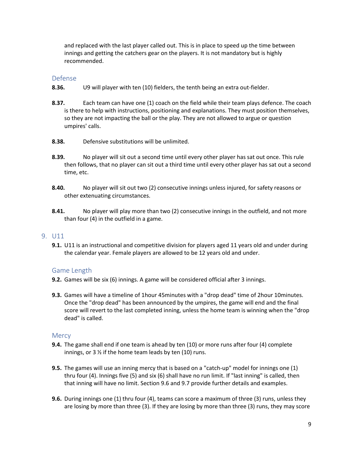and replaced with the last player called out. This is in place to speed up the time between innings and getting the catchers gear on the players. It is not mandatory but is highly recommended.

#### <span id="page-9-0"></span>Defense

- **8.36.** U9 will player with ten (10) fielders, the tenth being an extra out-fielder.
- **8.37.** Each team can have one (1) coach on the field while their team plays defence. The coach is there to help with instructions, positioning and explanations. They must position themselves, so they are not impacting the ball or the play. They are not allowed to argue or question umpires' calls.
- **8.38.** Defensive substitutions will be unlimited.
- **8.39.** No player will sit out a second time until every other player has sat out once. This rule then follows, that no player can sit out a third time until every other player has sat out a second time, etc.
- **8.40.** No player will sit out two (2) consecutive innings unless injured, for safety reasons or other extenuating circumstances.
- **8.41.** No player will play more than two (2) consecutive innings in the outfield, and not more than four (4) in the outfield in a game.

#### <span id="page-9-1"></span>9. U11

**9.1.** U11 is an instructional and competitive division for players aged 11 years old and under during the calendar year. Female players are allowed to be 12 years old and under.

# <span id="page-9-2"></span>Game Length

- **9.2.** Games will be six (6) innings. A game will be considered official after 3 innings.
- **9.3.** Games will have a timeline of 1hour 45minutes with a "drop dead" time of 2hour 10minutes. Once the "drop dead" has been announced by the umpires, the game will end and the final score will revert to the last completed inning, unless the home team is winning when the "drop dead" is called.

#### <span id="page-9-3"></span>**Mercy**

- **9.4.** The game shall end if one team is ahead by ten (10) or more runs after four (4) complete innings, or  $3\frac{1}{2}$  if the home team leads by ten (10) runs.
- **9.5.** The games will use an inning mercy that is based on a "catch-up" model for innings one (1) thru four (4). Innings five (5) and six (6) shall have no run limit. If "last inning" is called, then that inning will have no limit. Section 9.6 and 9.7 provide further details and examples.
- **9.6.** During innings one (1) thru four (4), teams can score a maximum of three (3) runs, unless they are losing by more than three (3). If they are losing by more than three (3) runs, they may score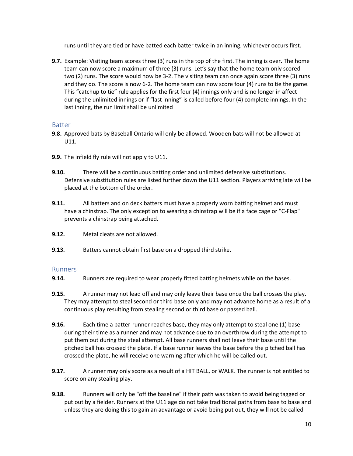runs until they are tied or have batted each batter twice in an inning, whichever occurs first.

**9.7.** Example: Visiting team scores three (3) runs in the top of the first. The inning is over. The home team can now score a maximum of three (3) runs. Let's say that the home team only scored two (2) runs. The score would now be 3-2. The visiting team can once again score three (3) runs and they do. The score is now 6-2. The home team can now score four (4) runs to tie the game. This "catchup to tie" rule applies for the first four (4) innings only and is no longer in affect during the unlimited innings or if "last inning" is called before four (4) complete innings. In the last inning, the run limit shall be unlimited

#### <span id="page-10-0"></span>**Batter**

- **9.8.** Approved bats by Baseball Ontario will only be allowed. Wooden bats will not be allowed at U11.
- **9.9.** The infield fly rule will not apply to U11.
- **9.10.** There will be a continuous batting order and unlimited defensive substitutions. Defensive substitution rules are listed further down the U11 section. Players arriving late will be placed at the bottom of the order.
- **9.11.** All batters and on deck batters must have a properly worn batting helmet and must have a chinstrap. The only exception to wearing a chinstrap will be if a face cage or "C-Flap" prevents a chinstrap being attached.
- **9.12.** Metal cleats are not allowed.
- **9.13.** Batters cannot obtain first base on a dropped third strike.

#### <span id="page-10-1"></span>Runners

- **9.14.** Runners are required to wear properly fitted batting helmets while on the bases.
- **9.15.** A runner may not lead off and may only leave their base once the ball crosses the play. They may attempt to steal second or third base only and may not advance home as a result of a continuous play resulting from stealing second or third base or passed ball.
- **9.16.** Each time a batter-runner reaches base, they may only attempt to steal one (1) base during their time as a runner and may not advance due to an overthrow during the attempt to put them out during the steal attempt. All base runners shall not leave their base until the pitched ball has crossed the plate. If a base runner leaves the base before the pitched ball has crossed the plate, he will receive one warning after which he will be called out.
- **9.17.** A runner may only score as a result of a HIT BALL, or WALK. The runner is not entitled to score on any stealing play.
- **9.18.** Runners will only be "off the baseline" if their path was taken to avoid being tagged or put out by a fielder. Runners at the U11 age do not take traditional paths from base to base and unless they are doing this to gain an advantage or avoid being put out, they will not be called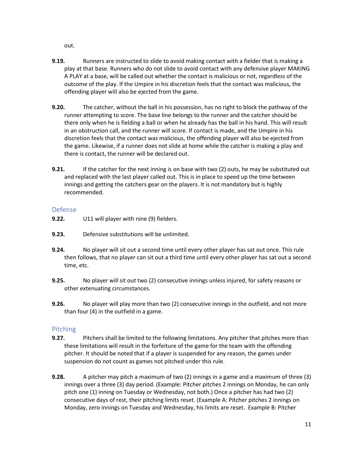out.

- **9.19.** Runners are instructed to slide to avoid making contact with a fielder that is making a play at that base. Runners who do not slide to avoid contact with any defensive player MAKING A PLAY at a base, will be called out whether the contact is malicious or not, regardless of the outcome of the play. If the Umpire in his discretion feels that the contact was malicious, the offending player will also be ejected from the game.
- **9.20.** The catcher, without the ball in his possession, has no right to block the pathway of the runner attempting to score. The base line belongs to the runner and the catcher should be there only when he is fielding a ball or when he already has the ball in his hand. This will result in an obstruction call, and the runner will score. If contact is made, and the Umpire in his discretion feels that the contact was malicious, the offending player will also be ejected from the game. Likewise, if a runner does not slide at home while the catcher is making a play and there is contact, the runner will be declared out.
- **9.21.** If the catcher for the next inning is on base with two (2) outs, he may be substituted out and replaced with the last player called out. This is in place to speed up the time between innings and getting the catchers gear on the players. It is not mandatory but is highly recommended.

# <span id="page-11-0"></span>Defense

- **9.22.** U11 will player with nine (9) fielders.
- **9.23.** Defensive substitutions will be unlimited.
- **9.24.** No player will sit out a second time until every other player has sat out once. This rule then follows, that no player can sit out a third time until every other player has sat out a second time, etc.
- **9.25.** No player will sit out two (2) consecutive innings unless injured, for safety reasons or other extenuating circumstances.
- **9.26.** No player will play more than two (2) consecutive innings in the outfield, and not more than four (4) in the outfield in a game.

# <span id="page-11-1"></span>Pitching

- **9.27.** Pitchers shall be limited to the following limitations. Any pitcher that pitches more than these limitations will result in the forfeiture of the game for the team with the offending pitcher. It should be noted that if a player is suspended for any reason, the games under suspension do not count as games not pitched under this rule.
- **9.28.** A pitcher may pitch a maximum of two (2) innings in a game and a maximum of three (3) innings over a three (3) day period. (Example: Pitcher pitches 2 innings on Monday, he can only pitch one (1) inning on Tuesday or Wednesday, not both.) Once a pitcher has had two (2) consecutive days of rest, their pitching limits reset. (Example A: Pitcher pitches 2 innings on Monday, zero innings on Tuesday and Wednesday, his limits are reset. Example B: Pitcher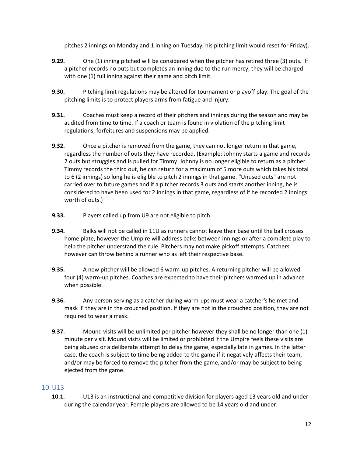pitches 2 innings on Monday and 1 inning on Tuesday, his pitching limit would reset for Friday).

- **9.29.** One (1) inning pitched will be considered when the pitcher has retired three (3) outs. If a pitcher records no outs but completes an inning due to the run mercy, they will be charged with one (1) full inning against their game and pitch limit.
- **9.30.** Pitching limit regulations may be altered for tournament or playoff play. The goal of the pitching limits is to protect players arms from fatigue and injury.
- **9.31.** Coaches must keep a record of their pitchers and innings during the season and may be audited from time to time. If a coach or team is found in violation of the pitching limit regulations, forfeitures and suspensions may be applied.
- **9.32.** Once a pitcher is removed from the game, they can not longer return in that game, regardless the number of outs they have recorded. (Example: Johnny starts a game and records 2 outs but struggles and is pulled for Timmy. Johnny is no longer eligible to return as a pitcher. Timmy records the third out, he can return for a maximum of 5 more outs which takes his total to 6 (2 innings) so long he is eligible to pitch 2 innings in that game. "Unused outs" are not carried over to future games and if a pitcher records 3 outs and starts another inning, he is considered to have been used for 2 innings in that game, regardless of if he recorded 2 innings worth of outs.)
- **9.33.** Players called up from U9 are not eligible to pitch.
- **9.34.** Balks will not be called in 11U as runners cannot leave their base until the ball crosses home plate, however the Umpire will address balks between innings or after a complete play to help the pitcher understand the rule. Pitchers may not make pickoff attempts. Catchers however can throw behind a runner who as left their respective base.
- **9.35.** A new pitcher will be allowed 6 warm-up pitches. A returning pitcher will be allowed four (4) warm-up pitches. Coaches are expected to have their pitchers warmed up in advance when possible.
- **9.36.** Any person serving as a catcher during warm-ups must wear a catcher's helmet and mask IF they are in the crouched position. If they are not in the crouched position, they are not required to wear a mask.
- **9.37.** Mound visits will be unlimited per pitcher however they shall be no longer than one (1) minute per visit. Mound visits will be limited or prohibited if the Umpire feels these visits are being abused or a deliberate attempt to delay the game, especially late in games. In the latter case, the coach is subject to time being added to the game if it negatively affects their team, and/or may be forced to remove the pitcher from the game, and/or may be subject to being ejected from the game.

# <span id="page-12-0"></span>10.U13

**10.1.** U13 is an instructional and competitive division for players aged 13 years old and under during the calendar year. Female players are allowed to be 14 years old and under.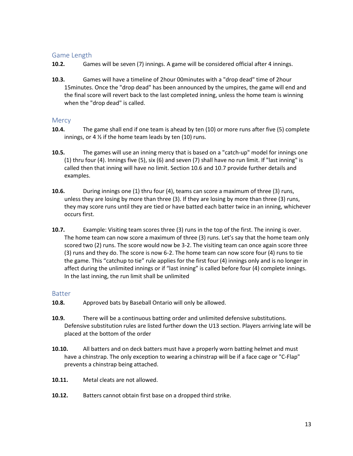# <span id="page-13-0"></span>Game Length

- **10.2.** Games will be seven (7) innings. A game will be considered official after 4 innings.
- **10.3.** Games will have a timeline of 2hour 00minutes with a "drop dead" time of 2hour 15minutes. Once the "drop dead" has been announced by the umpires, the game will end and the final score will revert back to the last completed inning, unless the home team is winning when the "drop dead" is called.

#### <span id="page-13-1"></span>**Mercy**

- **10.4.** The game shall end if one team is ahead by ten (10) or more runs after five (5) complete innings, or 4  $\frac{1}{2}$  if the home team leads by ten (10) runs.
- **10.5.** The games will use an inning mercy that is based on a "catch-up" model for innings one (1) thru four (4). Innings five (5), six (6) and seven (7) shall have no run limit. If "last inning" is called then that inning will have no limit. Section 10.6 and 10.7 provide further details and examples.
- **10.6.** During innings one (1) thru four (4), teams can score a maximum of three (3) runs, unless they are losing by more than three (3). If they are losing by more than three (3) runs, they may score runs until they are tied or have batted each batter twice in an inning, whichever occurs first.
- **10.7.** Example: Visiting team scores three (3) runs in the top of the first. The inning is over. The home team can now score a maximum of three (3) runs. Let's say that the home team only scored two (2) runs. The score would now be 3-2. The visiting team can once again score three (3) runs and they do. The score is now 6-2. The home team can now score four (4) runs to tie the game. This "catchup to tie" rule applies for the first four (4) innings only and is no longer in affect during the unlimited innings or if "last inning" is called before four (4) complete innings. In the last inning, the run limit shall be unlimited

#### <span id="page-13-2"></span>Batter

- **10.8.** Approved bats by Baseball Ontario will only be allowed.
- **10.9.** There will be a continuous batting order and unlimited defensive substitutions. Defensive substitution rules are listed further down the U13 section. Players arriving late will be placed at the bottom of the order
- **10.10.** All batters and on deck batters must have a properly worn batting helmet and must have a chinstrap. The only exception to wearing a chinstrap will be if a face cage or "C-Flap" prevents a chinstrap being attached.
- **10.11.** Metal cleats are not allowed.
- **10.12.** Batters cannot obtain first base on a dropped third strike.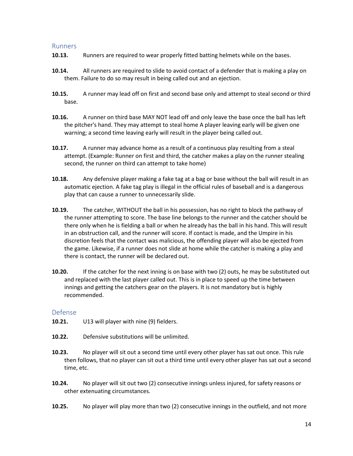#### <span id="page-14-0"></span>Runners

- **10.13.** Runners are required to wear properly fitted batting helmets while on the bases.
- **10.14.** All runners are required to slide to avoid contact of a defender that is making a play on them. Failure to do so may result in being called out and an ejection.
- **10.15.** A runner may lead off on first and second base only and attempt to steal second or third base.
- **10.16.** A runner on third base MAY NOT lead off and only leave the base once the ball has left the pitcher's hand. They may attempt to steal home A player leaving early will be given one warning; a second time leaving early will result in the player being called out.
- **10.17.** A runner may advance home as a result of a continuous play resulting from a steal attempt. (Example: Runner on first and third, the catcher makes a play on the runner stealing second, the runner on third can attempt to take home)
- **10.18.** Any defensive player making a fake tag at a bag or base without the ball will result in an automatic ejection. A fake tag play is illegal in the official rules of baseball and is a dangerous play that can cause a runner to unnecessarily slide.
- **10.19.** The catcher, WITHOUT the ball in his possession, has no right to block the pathway of the runner attempting to score. The base line belongs to the runner and the catcher should be there only when he is fielding a ball or when he already has the ball in his hand. This will result in an obstruction call, and the runner will score. If contact is made, and the Umpire in his discretion feels that the contact was malicious, the offending player will also be ejected from the game. Likewise, if a runner does not slide at home while the catcher is making a play and there is contact, the runner will be declared out.
- **10.20.** If the catcher for the next inning is on base with two (2) outs, he may be substituted out and replaced with the last player called out. This is in place to speed up the time between innings and getting the catchers gear on the players. It is not mandatory but is highly recommended.

#### <span id="page-14-1"></span>Defense

- **10.21.** U13 will player with nine (9) fielders.
- **10.22.** Defensive substitutions will be unlimited.
- **10.23.** No player will sit out a second time until every other player has sat out once. This rule then follows, that no player can sit out a third time until every other player has sat out a second time, etc.
- **10.24.** No player will sit out two (2) consecutive innings unless injured, for safety reasons or other extenuating circumstances.
- **10.25.** No player will play more than two (2) consecutive innings in the outfield, and not more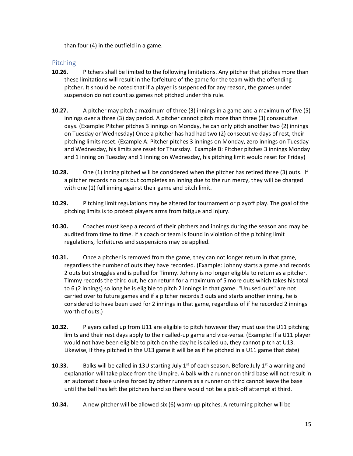than four (4) in the outfield in a game.

# <span id="page-15-0"></span>Pitching

- **10.26.** Pitchers shall be limited to the following limitations. Any pitcher that pitches more than these limitations will result in the forfeiture of the game for the team with the offending pitcher. It should be noted that if a player is suspended for any reason, the games under suspension do not count as games not pitched under this rule.
- **10.27.** A pitcher may pitch a maximum of three (3) innings in a game and a maximum of five (5) innings over a three (3) day period. A pitcher cannot pitch more than three (3) consecutive days. (Example: Pitcher pitches 3 innings on Monday, he can only pitch another two (2) innings on Tuesday or Wednesday) Once a pitcher has had had two (2) consecutive days of rest, their pitching limits reset. (Example A: Pitcher pitches 3 innings on Monday, zero innings on Tuesday and Wednesday, his limits are reset for Thursday. Example B: Pitcher pitches 3 innings Monday and 1 inning on Tuesday and 1 inning on Wednesday, his pitching limit would reset for Friday)
- **10.28.** One (1) inning pitched will be considered when the pitcher has retired three (3) outs. If a pitcher records no outs but completes an inning due to the run mercy, they will be charged with one (1) full inning against their game and pitch limit.
- **10.29.** Pitching limit regulations may be altered for tournament or playoff play. The goal of the pitching limits is to protect players arms from fatigue and injury.
- **10.30.** Coaches must keep a record of their pitchers and innings during the season and may be audited from time to time. If a coach or team is found in violation of the pitching limit regulations, forfeitures and suspensions may be applied.
- **10.31.** Once a pitcher is removed from the game, they can not longer return in that game, regardless the number of outs they have recorded. (Example: Johnny starts a game and records 2 outs but struggles and is pulled for Timmy. Johnny is no longer eligible to return as a pitcher. Timmy records the third out, he can return for a maximum of 5 more outs which takes his total to 6 (2 innings) so long he is eligible to pitch 2 innings in that game. "Unused outs" are not carried over to future games and if a pitcher records 3 outs and starts another inning, he is considered to have been used for 2 innings in that game, regardless of if he recorded 2 innings worth of outs.)
- **10.32.** Players called up from U11 are eligible to pitch however they must use the U11 pitching limits and their rest days apply to their called-up game and vice-versa. (Example: If a U11 player would not have been eligible to pitch on the day he is called up, they cannot pitch at U13. Likewise, if they pitched in the U13 game it will be as if he pitched in a U11 game that date)
- **10.33.** Balks will be called in 13U starting July 1<sup>st</sup> of each season. Before July 1<sup>st</sup> a warning and explanation will take place from the Umpire. A balk with a runner on third base will not result in an automatic base unless forced by other runners as a runner on third cannot leave the base until the ball has left the pitchers hand so there would not be a pick-off attempt at third.
- **10.34.** A new pitcher will be allowed six (6) warm-up pitches. A returning pitcher will be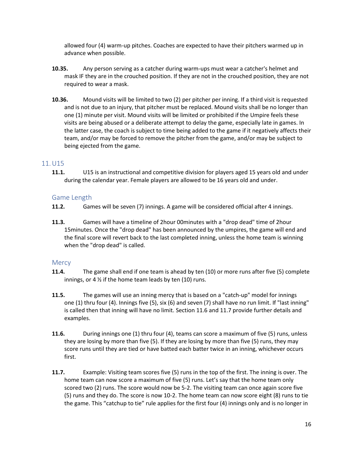allowed four (4) warm-up pitches. Coaches are expected to have their pitchers warmed up in advance when possible.

- **10.35.** Any person serving as a catcher during warm-ups must wear a catcher's helmet and mask IF they are in the crouched position. If they are not in the crouched position, they are not required to wear a mask.
- **10.36.** Mound visits will be limited to two (2) per pitcher per inning. If a third visit is requested and is not due to an injury, that pitcher must be replaced. Mound visits shall be no longer than one (1) minute per visit. Mound visits will be limited or prohibited if the Umpire feels these visits are being abused or a deliberate attempt to delay the game, especially late in games. In the latter case, the coach is subject to time being added to the game if it negatively affects their team, and/or may be forced to remove the pitcher from the game, and/or may be subject to being ejected from the game.

#### <span id="page-16-0"></span>11.U15

**11.1.** U15 is an instructional and competitive division for players aged 15 years old and under during the calendar year. Female players are allowed to be 16 years old and under.

#### <span id="page-16-1"></span>Game Length

- **11.2.** Games will be seven (7) innings. A game will be considered official after 4 innings.
- **11.3.** Games will have a timeline of 2hour 00minutes with a "drop dead" time of 2hour 15minutes. Once the "drop dead" has been announced by the umpires, the game will end and the final score will revert back to the last completed inning, unless the home team is winning when the "drop dead" is called.

#### <span id="page-16-2"></span>**Mercy**

- **11.4.** The game shall end if one team is ahead by ten (10) or more runs after five (5) complete innings, or 4  $\frac{1}{2}$  if the home team leads by ten (10) runs.
- **11.5.** The games will use an inning mercy that is based on a "catch-up" model for innings one (1) thru four (4). Innings five (5), six (6) and seven (7) shall have no run limit. If "last inning" is called then that inning will have no limit. Section 11.6 and 11.7 provide further details and examples.
- **11.6.** During innings one (1) thru four (4), teams can score a maximum of five (5) runs, unless they are losing by more than five (5). If they are losing by more than five (5) runs, they may score runs until they are tied or have batted each batter twice in an inning, whichever occurs first.
- **11.7.** Example: Visiting team scores five (5) runs in the top of the first. The inning is over. The home team can now score a maximum of five (5) runs. Let's say that the home team only scored two (2) runs. The score would now be 5-2. The visiting team can once again score five (5) runs and they do. The score is now 10-2. The home team can now score eight (8) runs to tie the game. This "catchup to tie" rule applies for the first four (4) innings only and is no longer in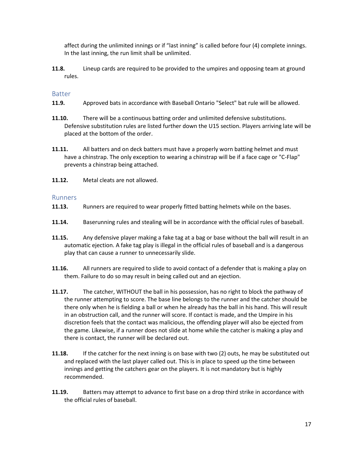affect during the unlimited innings or if "last inning" is called before four (4) complete innings. In the last inning, the run limit shall be unlimited.

**11.8.** Lineup cards are required to be provided to the umpires and opposing team at ground rules.

#### <span id="page-17-0"></span>Batter

- **11.9.** Approved bats in accordance with Baseball Ontario "Select" bat rule will be allowed.
- **11.10.** There will be a continuous batting order and unlimited defensive substitutions. Defensive substitution rules are listed further down the U15 section. Players arriving late will be placed at the bottom of the order.
- **11.11.** All batters and on deck batters must have a properly worn batting helmet and must have a chinstrap. The only exception to wearing a chinstrap will be if a face cage or "C-Flap" prevents a chinstrap being attached.
- **11.12.** Metal cleats are not allowed.

#### <span id="page-17-1"></span>Runners

- **11.13.** Runners are required to wear properly fitted batting helmets while on the bases.
- **11.14.** Baserunning rules and stealing will be in accordance with the official rules of baseball.
- **11.15.** Any defensive player making a fake tag at a bag or base without the ball will result in an automatic ejection. A fake tag play is illegal in the official rules of baseball and is a dangerous play that can cause a runner to unnecessarily slide.
- **11.16.** All runners are required to slide to avoid contact of a defender that is making a play on them. Failure to do so may result in being called out and an ejection.
- **11.17.** The catcher, WITHOUT the ball in his possession, has no right to block the pathway of the runner attempting to score. The base line belongs to the runner and the catcher should be there only when he is fielding a ball or when he already has the ball in his hand. This will result in an obstruction call, and the runner will score. If contact is made, and the Umpire in his discretion feels that the contact was malicious, the offending player will also be ejected from the game. Likewise, if a runner does not slide at home while the catcher is making a play and there is contact, the runner will be declared out.
- **11.18.** If the catcher for the next inning is on base with two (2) outs, he may be substituted out and replaced with the last player called out. This is in place to speed up the time between innings and getting the catchers gear on the players. It is not mandatory but is highly recommended.
- **11.19.** Batters may attempt to advance to first base on a drop third strike in accordance with the official rules of baseball.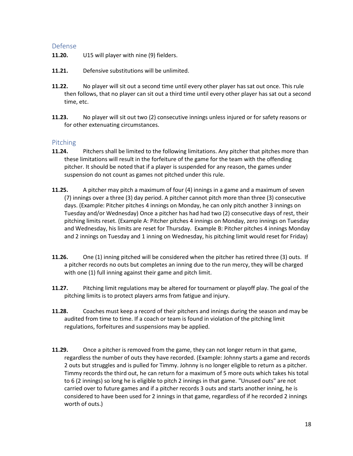#### <span id="page-18-0"></span>Defense

- **11.20.** U15 will player with nine (9) fielders.
- **11.21.** Defensive substitutions will be unlimited.
- **11.22.** No player will sit out a second time until every other player has sat out once. This rule then follows, that no player can sit out a third time until every other player has sat out a second time, etc.
- **11.23.** No player will sit out two (2) consecutive innings unless injured or for safety reasons or for other extenuating circumstances.

#### <span id="page-18-1"></span>Pitching

- **11.24.** Pitchers shall be limited to the following limitations. Any pitcher that pitches more than these limitations will result in the forfeiture of the game for the team with the offending pitcher. It should be noted that if a player is suspended for any reason, the games under suspension do not count as games not pitched under this rule.
- **11.25.** A pitcher may pitch a maximum of four (4) innings in a game and a maximum of seven (7) innings over a three (3) day period. A pitcher cannot pitch more than three (3) consecutive days. (Example: Pitcher pitches 4 innings on Monday, he can only pitch another 3 innings on Tuesday and/or Wednesday) Once a pitcher has had had two (2) consecutive days of rest, their pitching limits reset. (Example A: Pitcher pitches 4 innings on Monday, zero innings on Tuesday and Wednesday, his limits are reset for Thursday. Example B: Pitcher pitches 4 innings Monday and 2 innings on Tuesday and 1 inning on Wednesday, his pitching limit would reset for Friday)
- **11.26.** One (1) inning pitched will be considered when the pitcher has retired three (3) outs. If a pitcher records no outs but completes an inning due to the run mercy, they will be charged with one (1) full inning against their game and pitch limit.
- **11.27.** Pitching limit regulations may be altered for tournament or playoff play. The goal of the pitching limits is to protect players arms from fatigue and injury.
- **11.28.** Coaches must keep a record of their pitchers and innings during the season and may be audited from time to time. If a coach or team is found in violation of the pitching limit regulations, forfeitures and suspensions may be applied.
- **11.29.** Once a pitcher is removed from the game, they can not longer return in that game, regardless the number of outs they have recorded. (Example: Johnny starts a game and records 2 outs but struggles and is pulled for Timmy. Johnny is no longer eligible to return as a pitcher. Timmy records the third out, he can return for a maximum of 5 more outs which takes his total to 6 (2 innings) so long he is eligible to pitch 2 innings in that game. "Unused outs" are not carried over to future games and if a pitcher records 3 outs and starts another inning, he is considered to have been used for 2 innings in that game, regardless of if he recorded 2 innings worth of outs.)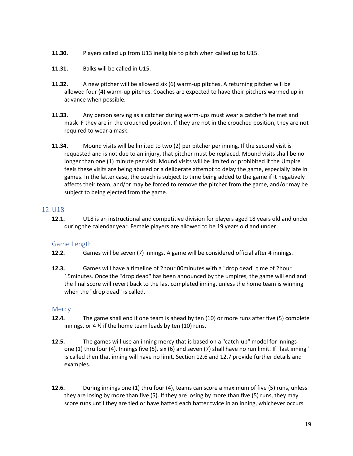- **11.30.** Players called up from U13 ineligible to pitch when called up to U15.
- **11.31.** Balks will be called in U15.
- **11.32.** A new pitcher will be allowed six (6) warm-up pitches. A returning pitcher will be allowed four (4) warm-up pitches. Coaches are expected to have their pitchers warmed up in advance when possible.
- **11.33.** Any person serving as a catcher during warm-ups must wear a catcher's helmet and mask IF they are in the crouched position. If they are not in the crouched position, they are not required to wear a mask.
- **11.34.** Mound visits will be limited to two (2) per pitcher per inning. If the second visit is requested and is not due to an injury, that pitcher must be replaced. Mound visits shall be no longer than one (1) minute per visit. Mound visits will be limited or prohibited if the Umpire feels these visits are being abused or a deliberate attempt to delay the game, especially late in games. In the latter case, the coach is subject to time being added to the game if it negatively affects their team, and/or may be forced to remove the pitcher from the game, and/or may be subject to being ejected from the game.

# <span id="page-19-0"></span>12.U18

**12.1.** U18 is an instructional and competitive division for players aged 18 years old and under during the calendar year. Female players are allowed to be 19 years old and under.

#### <span id="page-19-1"></span>Game Length

- **12.2.** Games will be seven (7) innings. A game will be considered official after 4 innings.
- **12.3.** Games will have a timeline of 2hour 00minutes with a "drop dead" time of 2hour 15minutes. Once the "drop dead" has been announced by the umpires, the game will end and the final score will revert back to the last completed inning, unless the home team is winning when the "drop dead" is called.

#### <span id="page-19-2"></span>**Mercy**

- **12.4.** The game shall end if one team is ahead by ten (10) or more runs after five (5) complete innings, or 4  $\frac{1}{2}$  if the home team leads by ten (10) runs.
- **12.5.** The games will use an inning mercy that is based on a "catch-up" model for innings one (1) thru four (4). Innings five (5), six (6) and seven (7) shall have no run limit. If "last inning" is called then that inning will have no limit. Section 12.6 and 12.7 provide further details and examples.
- **12.6.** During innings one (1) thru four (4), teams can score a maximum of five (5) runs, unless they are losing by more than five (5). If they are losing by more than five (5) runs, they may score runs until they are tied or have batted each batter twice in an inning, whichever occurs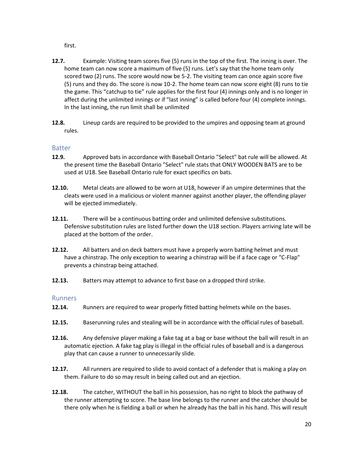first.

- **12.7.** Example: Visiting team scores five (5) runs in the top of the first. The inning is over. The home team can now score a maximum of five (5) runs. Let's say that the home team only scored two (2) runs. The score would now be 5-2. The visiting team can once again score five (5) runs and they do. The score is now 10-2. The home team can now score eight (8) runs to tie the game. This "catchup to tie" rule applies for the first four (4) innings only and is no longer in affect during the unlimited innings or if "last inning" is called before four (4) complete innings. In the last inning, the run limit shall be unlimited
- **12.8.** Lineup cards are required to be provided to the umpires and opposing team at ground rules.

# <span id="page-20-0"></span>Batter

- **12.9.** Approved bats in accordance with Baseball Ontario "Select" bat rule will be allowed. At the present time the Baseball Ontario "Select" rule stats that ONLY WOODEN BATS are to be used at U18. See Baseball Ontario rule for exact specifics on bats.
- **12.10.** Metal cleats are allowed to be worn at U18, however if an umpire determines that the cleats were used in a malicious or violent manner against another player, the offending player will be ejected immediately.
- **12.11.** There will be a continuous batting order and unlimited defensive substitutions. Defensive substitution rules are listed further down the U18 section. Players arriving late will be placed at the bottom of the order.
- **12.12.** All batters and on deck batters must have a properly worn batting helmet and must have a chinstrap. The only exception to wearing a chinstrap will be if a face cage or "C-Flap" prevents a chinstrap being attached.
- **12.13.** Batters may attempt to advance to first base on a dropped third strike.

#### <span id="page-20-1"></span>Runners

- 12.14. Runners are required to wear properly fitted batting helmets while on the bases.
- **12.15.** Baserunning rules and stealing will be in accordance with the official rules of baseball.
- **12.16.** Any defensive player making a fake tag at a bag or base without the ball will result in an automatic ejection. A fake tag play is illegal in the official rules of baseball and is a dangerous play that can cause a runner to unnecessarily slide.
- **12.17.** All runners are required to slide to avoid contact of a defender that is making a play on them. Failure to do so may result in being called out and an ejection.
- **12.18.** The catcher, WITHOUT the ball in his possession, has no right to block the pathway of the runner attempting to score. The base line belongs to the runner and the catcher should be there only when he is fielding a ball or when he already has the ball in his hand. This will result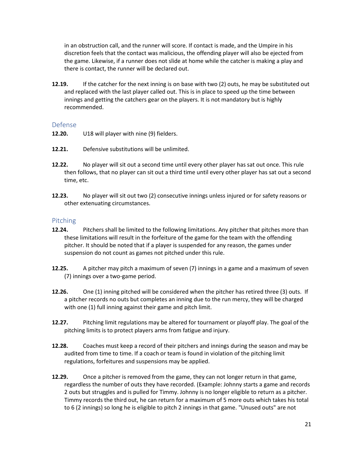in an obstruction call, and the runner will score. If contact is made, and the Umpire in his discretion feels that the contact was malicious, the offending player will also be ejected from the game. Likewise, if a runner does not slide at home while the catcher is making a play and there is contact, the runner will be declared out.

**12.19.** If the catcher for the next inning is on base with two (2) outs, he may be substituted out and replaced with the last player called out. This is in place to speed up the time between innings and getting the catchers gear on the players. It is not mandatory but is highly recommended.

#### <span id="page-21-0"></span>Defense

- **12.20.** U18 will player with nine (9) fielders.
- **12.21.** Defensive substitutions will be unlimited.
- **12.22.** No player will sit out a second time until every other player has sat out once. This rule then follows, that no player can sit out a third time until every other player has sat out a second time, etc.
- **12.23.** No player will sit out two (2) consecutive innings unless injured or for safety reasons or other extenuating circumstances.

#### <span id="page-21-1"></span>Pitching

- **12.24.** Pitchers shall be limited to the following limitations. Any pitcher that pitches more than these limitations will result in the forfeiture of the game for the team with the offending pitcher. It should be noted that if a player is suspended for any reason, the games under suspension do not count as games not pitched under this rule.
- **12.25.** A pitcher may pitch a maximum of seven (7) innings in a game and a maximum of seven (7) innings over a two-game period.
- **12.26.** One (1) inning pitched will be considered when the pitcher has retired three (3) outs. If a pitcher records no outs but completes an inning due to the run mercy, they will be charged with one (1) full inning against their game and pitch limit.
- **12.27.** Pitching limit regulations may be altered for tournament or playoff play. The goal of the pitching limits is to protect players arms from fatigue and injury.
- **12.28.** Coaches must keep a record of their pitchers and innings during the season and may be audited from time to time. If a coach or team is found in violation of the pitching limit regulations, forfeitures and suspensions may be applied.
- **12.29.** Once a pitcher is removed from the game, they can not longer return in that game, regardless the number of outs they have recorded. (Example: Johnny starts a game and records 2 outs but struggles and is pulled for Timmy. Johnny is no longer eligible to return as a pitcher. Timmy records the third out, he can return for a maximum of 5 more outs which takes his total to 6 (2 innings) so long he is eligible to pitch 2 innings in that game. "Unused outs" are not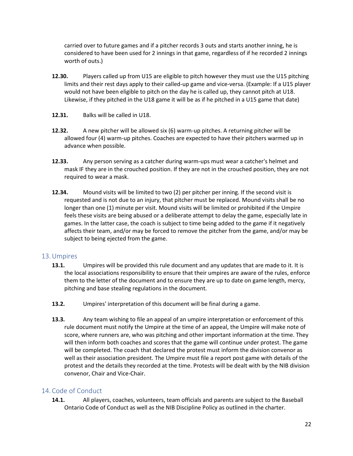carried over to future games and if a pitcher records 3 outs and starts another inning, he is considered to have been used for 2 innings in that game, regardless of if he recorded 2 innings worth of outs.)

- **12.30.** Players called up from U15 are eligible to pitch however they must use the U15 pitching limits and their rest days apply to their called-up game and vice-versa. (Example: If a U15 player would not have been eligible to pitch on the day he is called up, they cannot pitch at U18. Likewise, if they pitched in the U18 game it will be as if he pitched in a U15 game that date)
- **12.31.** Balks will be called in U18.
- **12.32.** A new pitcher will be allowed six (6) warm-up pitches. A returning pitcher will be allowed four (4) warm-up pitches. Coaches are expected to have their pitchers warmed up in advance when possible.
- **12.33.** Any person serving as a catcher during warm-ups must wear a catcher's helmet and mask IF they are in the crouched position. If they are not in the crouched position, they are not required to wear a mask.
- **12.34.** Mound visits will be limited to two (2) per pitcher per inning. If the second visit is requested and is not due to an injury, that pitcher must be replaced. Mound visits shall be no longer than one (1) minute per visit. Mound visits will be limited or prohibited if the Umpire feels these visits are being abused or a deliberate attempt to delay the game, especially late in games. In the latter case, the coach is subject to time being added to the game if it negatively affects their team, and/or may be forced to remove the pitcher from the game, and/or may be subject to being ejected from the game.

#### <span id="page-22-0"></span>13.Umpires

- **13.1.** Umpires will be provided this rule document and any updates that are made to it. It is the local associations responsibility to ensure that their umpires are aware of the rules, enforce them to the letter of the document and to ensure they are up to date on game length, mercy, pitching and base stealing regulations in the document.
- **13.2.** Umpires' interpretation of this document will be final during a game.
- **13.3.** Any team wishing to file an appeal of an umpire interpretation or enforcement of this rule document must notify the Umpire at the time of an appeal, the Umpire will make note of score, where runners are, who was pitching and other important information at the time. They will then inform both coaches and scores that the game will continue under protest. The game will be completed. The coach that declared the protest must inform the division convenor as well as their association president. The Umpire must file a report post game with details of the protest and the details they recorded at the time. Protests will be dealt with by the NIB division convenor, Chair and Vice-Chair.

# <span id="page-22-1"></span>14.Code of Conduct

**14.1.** All players, coaches, volunteers, team officials and parents are subject to the Baseball Ontario Code of Conduct as well as the NIB Discipline Policy as outlined in the charter.